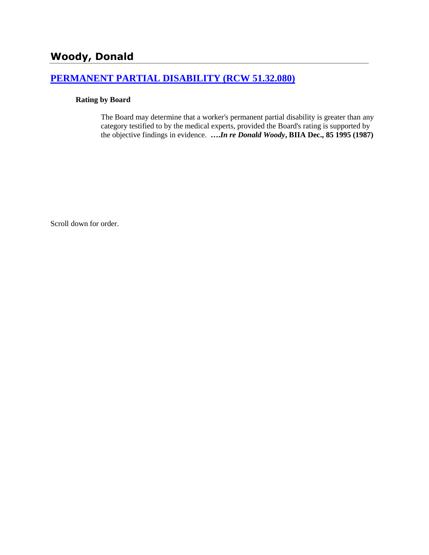# **[PERMANENT PARTIAL DISABILITY \(RCW 51.32.080\)](http://www.biia.wa.gov/SDSubjectIndex.html#PERMANENT_PARTIAL_DISABILITY)**

### **Rating by Board**

The Board may determine that a worker's permanent partial disability is greater than any category testified to by the medical experts, provided the Board's rating is supported by the objective findings in evidence. **….***In re Donald Woody***, BIIA Dec., 85 1995 (1987)** 

Scroll down for order.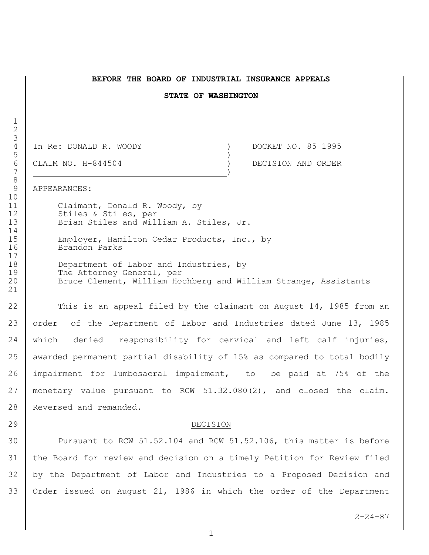#### **BEFORE THE BOARD OF INDUSTRIAL INSURANCE APPEALS**

#### **STATE OF WASHINGTON**

4 In Re: DONALD R. WOODY (a) CLAIM NO. H-844504 (a) (a) DOCKET NO. 85 1995<br>
6 CLAIM NO. H-844504 (a) DECISION AND ORDER

CLAIM NO. H-844504 ) DECISION AND ORDER

#### APPEARANCES:

 Claimant, Donald R. Woody, by 12 Stiles & Stiles, per 13 Brian Stiles and William A. Stiles, Jr.

 Employer, Hamilton Cedar Products, Inc., by Brandon Parks

 Department of Labor and Industries, by 19 The Attorney General, per 20 | Bruce Clement, William Hochberg and William Strange, Assistants

22 This is an appeal filed by the claimant on August 14, 1985 from an 23 order of the Department of Labor and Industries dated June 13, 1985 which denied responsibility for cervical and left calf injuries, awarded permanent partial disability of 15% as compared to total bodily impairment for lumbosacral impairment, to be paid at 75% of the monetary value pursuant to RCW 51.32.080(2), and closed the claim. 28 Reversed and remanded.

#### DECISION

 Pursuant to RCW 51.52.104 and RCW 51.52.106, this matter is before the Board for review and decision on a timely Petition for Review filed by the Department of Labor and Industries to a Proposed Decision and Order issued on August 21, 1986 in which the order of the Department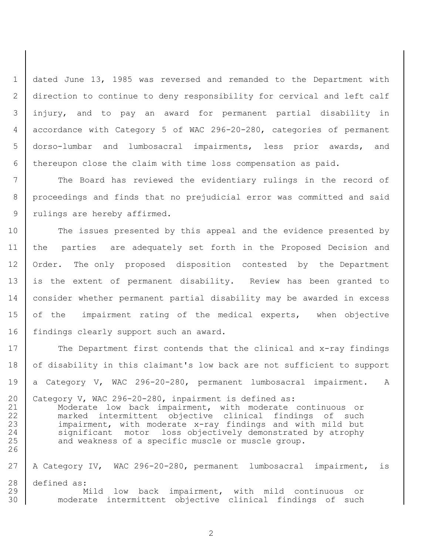dated June 13, 1985 was reversed and remanded to the Department with direction to continue to deny responsibility for cervical and left calf injury, and to pay an award for permanent partial disability in accordance with Category 5 of WAC 296-20-280, categories of permanent dorso-lumbar and lumbosacral impairments, less prior awards, and thereupon close the claim with time loss compensation as paid.

 The Board has reviewed the evidentiary rulings in the record of proceedings and finds that no prejudicial error was committed and said 9 | rulings are hereby affirmed.

 The issues presented by this appeal and the evidence presented by the parties are adequately set forth in the Proposed Decision and 12 | Order. The only proposed disposition contested by the Department 13 is the extent of permanent disability. Review has been granted to consider whether permanent partial disability may be awarded in excess 15 of the impairment rating of the medical experts, when objective 16 findings clearly support such an award.

17 The Department first contends that the clinical and x-ray findings 18 of disability in this claimant's low back are not sufficient to support a Category V, WAC 296-20-280, permanent lumbosacral impairment. A Category V, WAC 296-20-280, inpairment is defined as:

 Moderate low back impairment, with moderate continuous or marked intermittent objective clinical findings of such 23 | impairment, with moderate x-ray findings and with mild but 24 | significant motor loss objectively demonstrated by atrophy 25 and weakness of a specific muscle or muscle group. 

 A Category IV, WAC 296-20-280, permanent lumbosacral impairment, is defined as: 29 | Mild low back impairment, with mild continuous or moderate intermittent objective clinical findings of such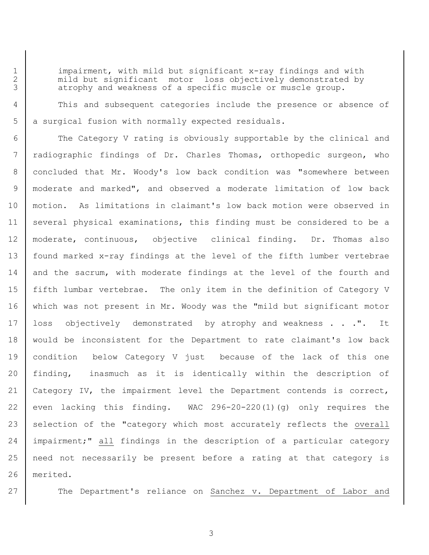1 | impairment, with mild but significant x-ray findings and with 2 | mild but significant motor loss objectively demonstrated by 3 atrophy and weakness of a specific muscle or muscle group.

 This and subsequent categories include the presence or absence of 5 a surgical fusion with normally expected residuals.

6 The Category V rating is obviously supportable by the clinical and radiographic findings of Dr. Charles Thomas, orthopedic surgeon, who concluded that Mr. Woody's low back condition was "somewhere between moderate and marked", and observed a moderate limitation of low back motion. As limitations in claimant's low back motion were observed in several physical examinations, this finding must be considered to be a moderate, continuous, objective clinical finding. Dr. Thomas also found marked x-ray findings at the level of the fifth lumber vertebrae 14 | and the sacrum, with moderate findings at the level of the fourth and fifth lumbar vertebrae. The only item in the definition of Category V which was not present in Mr. Woody was the "mild but significant motor 17 | loss objectively demonstrated by atrophy and weakness . . . ". It would be inconsistent for the Department to rate claimant's low back condition below Category V just because of the lack of this one finding, inasmuch as it is identically within the description of Category IV, the impairment level the Department contends is correct, 22 even lacking this finding. WAC  $296-20-220(1)(q)$  only requires the 23 selection of the "category which most accurately reflects the overall 24 impairment;" all findings in the description of a particular category need not necessarily be present before a rating at that category is merited.

27 The Department's reliance on Sanchez v. Department of Labor and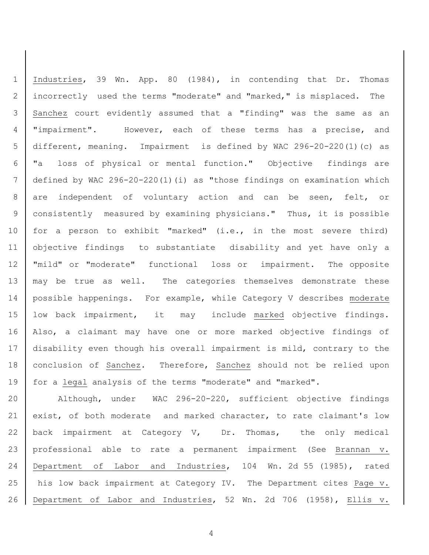1 | Industries, 39 Wn. App. 80 (1984), in contending that Dr. Thomas 2 incorrectly used the terms "moderate" and "marked," is misplaced. The 3 Sanchez court evidently assumed that a "finding" was the same as an 4 | "impairment". However, each of these terms has a precise, and 5 different, meaning. Impairment is defined by WAC 296-20-220(1)(c) as 6 "a loss of physical or mental function." Objective findings are 7 defined by WAC 296-20-220(1)(i) as "those findings on examination which 8 are independent of voluntary action and can be seen, felt, or 9 consistently measured by examining physicians." Thus, it is possible 10 | for a person to exhibit "marked" (i.e., in the most severe third) 11 objective findings to substantiate disability and yet have only a 12 "mild" or "moderate" functional loss or impairment. The opposite 13 | may be true as well. The categories themselves demonstrate these 14 | possible happenings. For example, while Category V describes moderate 15 low back impairment, it may include marked objective findings. 16 Also, a claimant may have one or more marked objective findings of 17 disability even though his overall impairment is mild, contrary to the 18 conclusion of Sanchez. Therefore, Sanchez should not be relied upon 19 | for a legal analysis of the terms "moderate" and "marked".

 Although, under WAC 296-20-220, sufficient objective findings 21 exist, of both moderate and marked character, to rate claimant's low  $\vert$  back impairment at Category V, Dr. Thomas, the only medical professional able to rate a permanent impairment (See Brannan v. Department of Labor and Industries, 104 Wn. 2d 55 (1985), rated 25 | his low back impairment at Category IV. The Department cites Page v. Department of Labor and Industries, 52 Wn. 2d 706 (1958), Ellis v.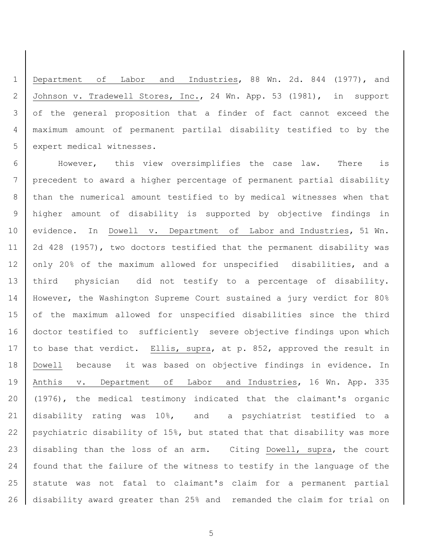Department of Labor and Industries, 88 Wn. 2d. 844 (1977), and Johnson v. Tradewell Stores, Inc., 24 Wn. App. 53 (1981), in support of the general proposition that a finder of fact cannot exceed the maximum amount of permanent partilal disability testified to by the 5 expert medical witnesses.

 However, this view oversimplifies the case law. There is precedent to award a higher percentage of permanent partial disability than the numerical amount testified to by medical witnesses when that higher amount of disability is supported by objective findings in evidence. In Dowell v. Department of Labor and Industries, 51 Wn. 2d 428 (1957), two doctors testified that the permanent disability was 12 only 20% of the maximum allowed for unspecified disabilities, and a third physician did not testify to a percentage of disability. However, the Washington Supreme Court sustained a jury verdict for 80% 15 of the maximum allowed for unspecified disabilities since the third doctor testified to sufficiently severe objective findings upon which 17 to base that verdict. Ellis, supra, at p. 852, approved the result in Dowell because it was based on objective findings in evidence. In 19 | Anthis v. Department of Labor and Industries, 16 Wn. App. 335 (1976), the medical testimony indicated that the claimant's organic disability rating was 10%, and a psychiatrist testified to a psychiatric disability of 15%, but stated that that disability was more disabling than the loss of an arm. Citing Dowell, supra, the court 24 | found that the failure of the witness to testify in the language of the statute was not fatal to claimant's claim for a permanent partial disability award greater than 25% and remanded the claim for trial on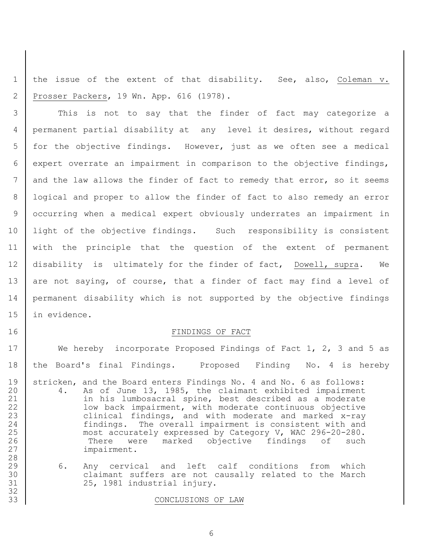1 | the issue of the extent of that disability. See, also, Coleman v. 2 Prosser Packers, 19 Wn. App. 616 (1978).

 This is not to say that the finder of fact may categorize a permanent partial disability at any level it desires, without regard for the objective findings. However, just as we often see a medical expert overrate an impairment in comparison to the objective findings, 7 and the law allows the finder of fact to remedy that error, so it seems 8 | logical and proper to allow the finder of fact to also remedy an error occurring when a medical expert obviously underrates an impairment in 10 | light of the objective findings. Such responsibility is consistent with the principle that the question of the extent of permanent disability is ultimately for the finder of fact, Dowell, supra. We 13 are not saying, of course, that a finder of fact may find a level of permanent disability which is not supported by the objective findings in evidence.

#### 16 FINDINGS OF FACT

17 We hereby incorporate Proposed Findings of Fact 1, 2, 3 and 5 as 18 the Board's final Findings. Proposed Finding No. 4 is hereby 19 stricken, and the Board enters Findings No. 4 and No. 6 as follows: 20 4. As of June 13, 1985, the claimant exhibited impairment 21 in his lumbosacral spine, best described as a moderate 22 | Whate impairment, with moderate continuous objective 23 clinical findings, and with moderate and marked x-ray 24 | findings. The overall impairment is consistent with and 25 most accurately expressed by Category V, WAC 296-20-280. 26 There were marked objective findings of such 27 impairment. 28

29 6. Any cervical and left calf conditions from which 30 claimant suffers are not causally related to the March 31 25, 1981 industrial injury.

#### 33 CONCLUSIONS OF LAW

32